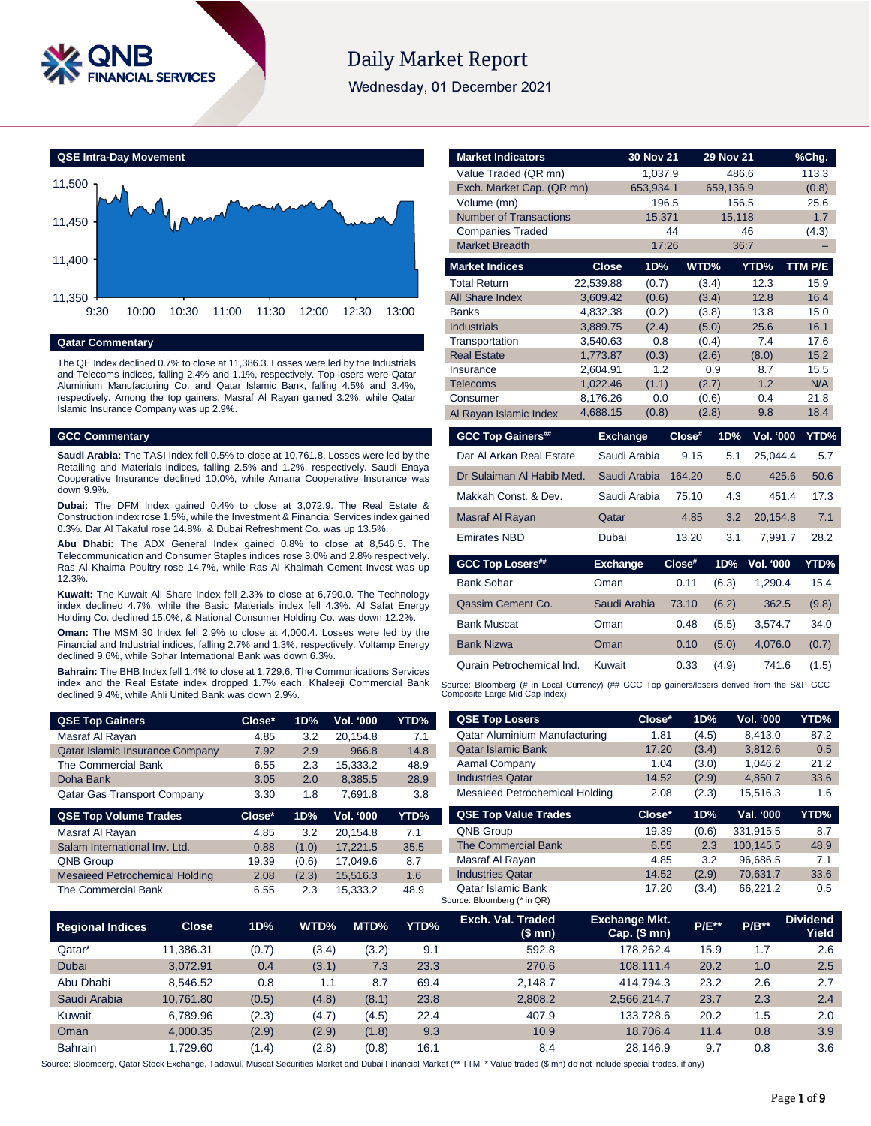

# **Daily Market Report**

Wednesday, 01 December 2021



### **Qatar Commentary**

The QE Index declined 0.7% to close at 11,386.3. Losses were led by the Industrials and Telecoms indices, falling 2.4% and 1.1%, respectively. Top losers were Qatar Aluminium Manufacturing Co. and Qatar Islamic Bank, falling 4.5% and 3.4%, respectively. Among the top gainers, Masraf Al Rayan gained 3.2%, while Qatar Islamic Insurance Company was up 2.9%.

### **GCC Commentary**

**Saudi Arabia:** The TASI Index fell 0.5% to close at 10,761.8. Losses were led by the Retailing and Materials indices, falling 2.5% and 1.2%, respectively. Saudi Enaya Cooperative Insurance declined 10.0%, while Amana Cooperative Insurance was down 9.9%.

**Dubai:** The DFM Index gained 0.4% to close at 3,072.9. The Real Estate & Construction index rose 1.5%, while the Investment & Financial Services index gained 0.3%. Dar Al Takaful rose 14.8%, & Dubai Refreshment Co. was up 13.5%.

**Abu Dhabi:** The ADX General Index gained 0.8% to close at 8,546.5. The Telecommunication and Consumer Staples indices rose 3.0% and 2.8% respectively. Ras Al Khaima Poultry rose 14.7%, while Ras Al Khaimah Cement Invest was up 12.3%.

**Kuwait:** The Kuwait All Share Index fell 2.3% to close at 6,790.0. The Technology index declined 4.7%, while the Basic Materials index fell 4.3%. Al Safat Energy Holding Co. declined 15.0%, & National Consumer Holding Co. was down 12.2%.

**Oman:** The MSM 30 Index fell 2.9% to close at 4,000.4. Losses were led by the Financial and Industrial indices, falling 2.7% and 1.3%, respectively. Voltamp Energy declined 9.6%, while Sohar International Bank was down 6.3%.

**Bahrain:** The BHB Index fell 1.4% to close at 1,729.6. The Communications Services index and the Real Estate index dropped 1.7% each. Khaleeji Commercial Bank declined 9.4%, while Ahli United Bank was down 2.9%.

| <b>QSE Top Gainers</b>                 | Close* | 1D% | <b>Vol. '000</b> | YTD% |
|----------------------------------------|--------|-----|------------------|------|
| Masraf Al Rayan                        | 4.85   | 3.2 | 20.154.8         | 7.1  |
| <b>Qatar Islamic Insurance Company</b> | 7.92   | 2.9 | 966.8            | 14.8 |
| The Commercial Bank                    | 6.55   | 2.3 | 15.333.2         | 48.9 |
| Doha Bank                              | 3.05   | 2.0 | 8.385.5          | 28.9 |
| <b>Qatar Gas Transport Company</b>     | 3.30   | 1.8 | 7.691.8          | 3.8  |

| <b>QSE Top Volume Trades</b>          | $Close*$ | 1D%   | <b>Vol. '000</b> | YTD% |
|---------------------------------------|----------|-------|------------------|------|
| Masraf Al Rayan                       | 4.85     | 3.2   | 20.154.8         | 7.1  |
| Salam International Inv. Ltd.         | 0.88     | (1.0) | 17.221.5         | 35.5 |
| <b>QNB Group</b>                      | 19.39    | (0.6) | 17.049.6         | 8.7  |
| <b>Mesaieed Petrochemical Holding</b> | 2.08     | (2.3) | 15.516.3         | 1.6  |
| The Commercial Bank                   | 6.55     | 2.3   | 15.333.2         | 48.9 |

| <b>Market Indicators</b>      |              | 30 Nov 21       |                       | <b>29 Nov 21</b> |                  | $%$ Chg.         |
|-------------------------------|--------------|-----------------|-----------------------|------------------|------------------|------------------|
| Value Traded (QR mn)          |              | 1,037.9         |                       | 486.6            |                  | 113.3            |
| Exch. Market Cap. (QR mn)     |              | 653.934.1       |                       | 659,136.9        |                  | (0.8)            |
| Volume (mn)                   |              | 196.5           |                       | 156.5            |                  | 25.6             |
| <b>Number of Transactions</b> |              | 15,371          |                       | 15,118           |                  | 1.7              |
| <b>Companies Traded</b>       |              |                 | 44                    |                  | 46               | (4.3)            |
| <b>Market Breadth</b>         |              | 17:26           |                       |                  | 36:7             |                  |
| <b>Market Indices</b>         | <b>Close</b> | 1D%             | WTD%                  |                  | YTD%             | TTM P/E          |
| <b>Total Return</b>           | 22,539.88    | (0.7)           | (3.4)                 |                  | 12.3             | 15.9             |
| All Share Index               | 3.609.42     | (0.6)           | (3.4)                 |                  | 12.8             | 16.4             |
| <b>Banks</b>                  | 4,832.38     | (0.2)           | (3.8)                 |                  | 13.8             | 15.0             |
| <b>Industrials</b>            | 3,889.75     | (2.4)           | (5.0)                 |                  | 25.6             | 16.1             |
| Transportation                | 3,540.63     | 0.8             | (0.4)                 |                  | 7.4              | 17.6             |
| <b>Real Estate</b>            | 1,773.87     | (0.3)           | (2.6)                 |                  | (8.0)            | 15.2             |
| Insurance                     | 2,604.91     | 1.2             |                       | 0.9              | 8.7              | 15.5             |
| <b>Telecoms</b>               | 1,022.46     | (1.1)           | (2.7)                 |                  | 1.2              | N/A              |
| Consumer                      | 8,176.26     | 0.0             | (0.6)                 |                  | 0.4              | 21.8             |
| Al Rayan Islamic Index        | 4,688.15     | (0.8)           | (2.8)                 |                  | 9.8              | 18.4             |
| <b>GCC Top Gainers##</b>      |              | <b>Exchange</b> | Close#                | 1D%              | Vol. '000        | YTD%             |
| Dar Al Arkan Real Estate      |              | Saudi Arabia    | 9.15                  | 5.1              | 25,044.4         | 5.7              |
| Dr Sulaiman Al Habib Med.     |              | Saudi Arabia    | 164.20                | 5.0              | 425.6            | 50.6             |
| Makkah Const, & Dev.          |              | Saudi Arabia    | 75.10                 | 4.3              | 451.4            | 17.3             |
| Masraf Al Rayan               | Qatar        |                 | 4.85                  | 3.2              | 20,154.8         | 7.1              |
| <b>Emirates NBD</b>           | Dubai        |                 | 13.20                 | 3.1              | 7,991.7          | 28.2             |
| GCC Ton Losers##              | Evchange     |                 | $Cl$ nea <sup>#</sup> | 1 D <sub>9</sub> | <b>Volt</b> food | VTD <sub>%</sub> |

| <b>GCC Top Losers##</b>   | <b>Exchange</b> | $Close^*$ |       | 1D% Vol. '000 | YTD%  |
|---------------------------|-----------------|-----------|-------|---------------|-------|
| <b>Bank Sohar</b>         | Oman            | 0.11      | (6.3) | 1.290.4       | 15.4  |
| Qassim Cement Co.         | Saudi Arabia    | 73.10     | (6.2) | 362.5         | (9.8) |
| <b>Bank Muscat</b>        | Oman            | 0.48      | (5.5) | 3,574.7       | 34.0  |
| <b>Bank Nizwa</b>         | Oman            | 0.10      | (5.0) | 4.076.0       | (0.7) |
| Qurain Petrochemical Ind. | Kuwait          | 0.33      | (4.9) | 741.6         | (1.5) |

Source: Bloomberg (# in Local Currency) (## GCC Top gainers/losers derived from the S&P GCC<br>Composite Large Mid Cap Index)

| <b>QSE Top Losers</b>          | Close* | 1D%   | Vol. '000 | YTD% |
|--------------------------------|--------|-------|-----------|------|
| Qatar Aluminium Manufacturing  | 1.81   | (4.5) | 8,413.0   | 87.2 |
| <b>Qatar Islamic Bank</b>      | 17.20  | (3.4) | 3,812.6   | 0.5  |
| Aamal Company                  | 1.04   | (3.0) | 1.046.2   | 21.2 |
| <b>Industries Qatar</b>        | 14.52  | (2.9) | 4.850.7   | 33.6 |
| Mesaieed Petrochemical Holding | 2.08   | (2.3) | 15.516.3  | 1.6  |
| <b>QSE Top Value Trades</b>    | Close* | 1D%   | Val. '000 | YTD% |

| <b>QSE Top Value Trades</b> | Close <sup>*</sup> | 1D% . | Val. '000 | Y I D% |
|-----------------------------|--------------------|-------|-----------|--------|
| <b>QNB Group</b>            | 19.39              | (0.6) | 331.915.5 | 8.7    |
| <b>The Commercial Bank</b>  | 6.55               | 2.3   | 100.145.5 | 48.9   |
| Masraf Al Rayan             | 4.85               | 3.2   | 96.686.5  | 7.1    |
| <b>Industries Qatar</b>     | 14.52              | (2.9) | 70.631.7  | 33.6   |
| <b>Qatar Islamic Bank</b>   | 17.20              | (3.4) | 66.221.2  | 0.5    |
| Source: Bloomberg (* in QR) |                    |       |           |        |

| <b>Regional Indices</b> | <b>Close</b> | 1D%   | WTD%  | MTD%  | YTD% | Exch. Val. Traded<br>(\$ mn) | <b>Exchange Mkt.</b><br>$Cap.$ (\$ mn) | <b>P/E**</b> | $P/B**$ | <b>Dividend</b><br>Yield |
|-------------------------|--------------|-------|-------|-------|------|------------------------------|----------------------------------------|--------------|---------|--------------------------|
| Qatar*                  | 11.386.31    | (0.7) | (3.4) | (3.2) | 9.1  | 592.8                        | 178.262.4                              | 15.9         | 1.7     | 2.6                      |
| <b>Dubai</b>            | 3.072.91     | 0.4   | (3.1) | 7.3   | 23.3 | 270.6                        | 108.111.4                              | 20.2         | 1.0     | 2.5                      |
| Abu Dhabi               | 8.546.52     | 0.8   | 1.1   | 8.7   | 69.4 | 2.148.7                      | 414.794.3                              | 23.2         | 2.6     | 2.7                      |
| Saudi Arabia            | 10.761.80    | (0.5) | (4.8) | (8.1) | 23.8 | 2,808.2                      | 2.566.214.7                            | 23.7         | 2.3     | 2.4                      |
| Kuwait                  | 6.789.96     | (2.3) | (4.7) | (4.5) | 22.4 | 407.9                        | 133.728.6                              | 20.2         | 1.5     | 2.0                      |
| Oman                    | 4.000.35     | (2.9) | (2.9) | (1.8) | 9.3  | 10.9                         | 18.706.4                               | 11.4         | 0.8     | 3.9                      |
| <b>Bahrain</b>          | 1.729.60     | (1.4) | (2.8) | (0.8) | 16.1 | 8.4                          | 28.146.9                               | 9.7          | 0.8     | 3.6                      |

Source: Bloomberg, Qatar Stock Exchange, Tadawul, Muscat Securities Market and Dubai Financial Market (\*\* TTM; \* Value traded (\$ mn) do not include special trades, if any)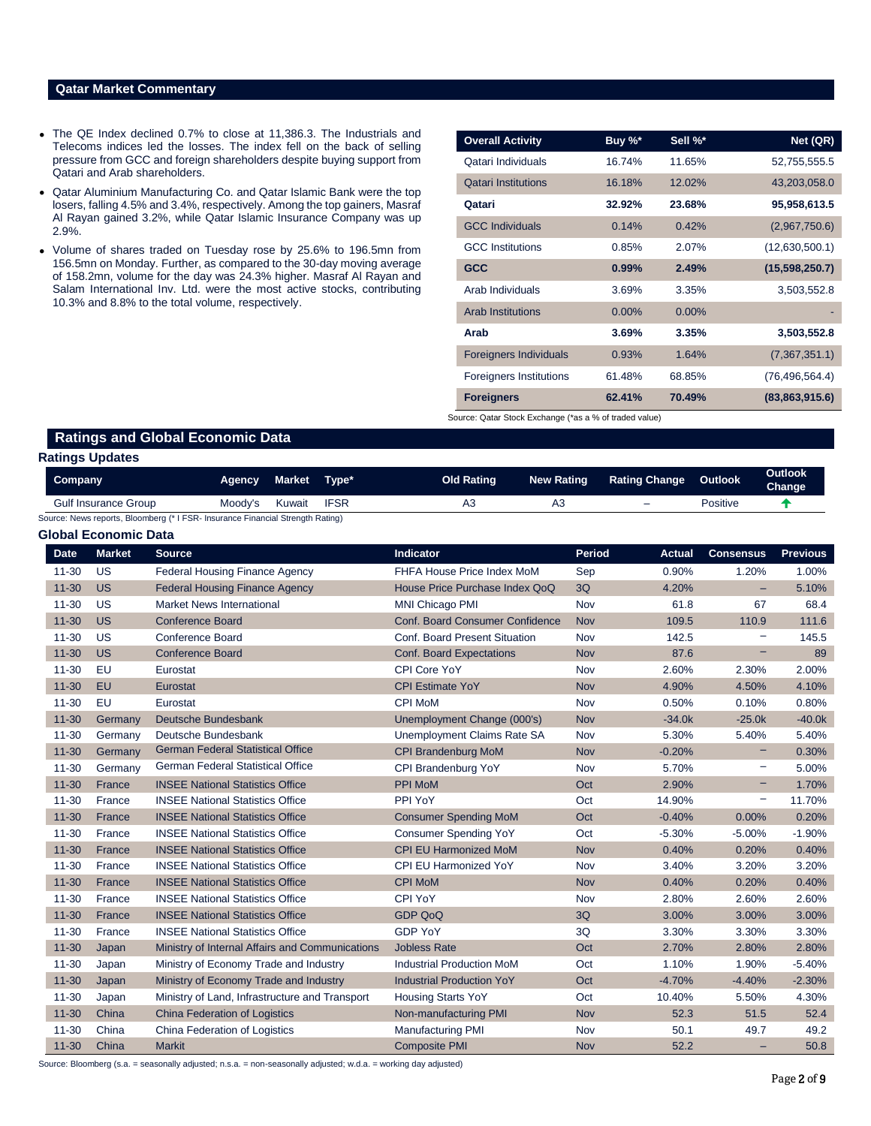# **Qatar Market Commentary**

- The QE Index declined 0.7% to close at 11,386.3. The Industrials and Telecoms indices led the losses. The index fell on the back of selling pressure from GCC and foreign shareholders despite buying support from Qatari and Arab shareholders.
- Qatar Aluminium Manufacturing Co. and Qatar Islamic Bank were the top losers, falling 4.5% and 3.4%, respectively. Among the top gainers, Masraf Al Rayan gained 3.2%, while Qatar Islamic Insurance Company was up 2.9%.
- Volume of shares traded on Tuesday rose by 25.6% to 196.5mn from 156.5mn on Monday. Further, as compared to the 30-day moving average of 158.2mn, volume for the day was 24.3% higher. Masraf Al Rayan and Salam International Inv. Ltd. were the most active stocks, contributing 10.3% and 8.8% to the total volume, respectively.

| <b>Overall Activity</b>                                | Buy %*   | Sell %*  | Net (QR)         |  |  |  |  |  |  |  |
|--------------------------------------------------------|----------|----------|------------------|--|--|--|--|--|--|--|
| Qatari Individuals                                     | 16.74%   | 11.65%   | 52,755,555.5     |  |  |  |  |  |  |  |
| <b>Qatari Institutions</b>                             | 16.18%   | 12.02%   | 43,203,058.0     |  |  |  |  |  |  |  |
| Qatari                                                 | 32.92%   | 23.68%   | 95,958,613.5     |  |  |  |  |  |  |  |
| <b>GCC Individuals</b>                                 | 0.14%    | 0.42%    | (2,967,750.6)    |  |  |  |  |  |  |  |
| <b>GCC</b> Institutions                                | 0.85%    | 2.07%    | (12,630,500.1)   |  |  |  |  |  |  |  |
| <b>GCC</b>                                             | 0.99%    | 2.49%    | (15,598,250.7)   |  |  |  |  |  |  |  |
| Arab Individuals                                       | 3.69%    | 3.35%    | 3,503,552.8      |  |  |  |  |  |  |  |
| <b>Arab Institutions</b>                               | $0.00\%$ | $0.00\%$ |                  |  |  |  |  |  |  |  |
| Arab                                                   | 3.69%    | 3.35%    | 3,503,552.8      |  |  |  |  |  |  |  |
| <b>Foreigners Individuals</b>                          | 0.93%    | 1.64%    | (7,367,351.1)    |  |  |  |  |  |  |  |
| <b>Foreigners Institutions</b>                         | 61.48%   | 68.85%   | (76, 496, 564.4) |  |  |  |  |  |  |  |
| <b>Foreigners</b>                                      | 62.41%   | 70.49%   | (83,863,915.6)   |  |  |  |  |  |  |  |
| Source: Qatar Stock Exchange (*as a % of traded value) |          |          |                  |  |  |  |  |  |  |  |

**Ratings and Global Economic Data**

### **Ratings Updates**

| Company                     | <b>Agency</b>                                                                  | Market | Tvpe*       | Old Rating | <b>New Rating</b> | <b>Rating Change</b>     | Outlook  | <b>Outlook</b><br>Change |  |
|-----------------------------|--------------------------------------------------------------------------------|--------|-------------|------------|-------------------|--------------------------|----------|--------------------------|--|
| <b>Gulf Insurance Group</b> | Moody's                                                                        | Kuwait | <b>IFSR</b> |            |                   | $\overline{\phantom{0}}$ | Positive |                          |  |
|                             | Source: News reports, Bloomberg (* I FSR- Insurance Financial Strength Rating) |        |             |            |                   |                          |          |                          |  |

|             | Global Economic Data |                                                 |                                        |            |               |                   |                 |
|-------------|----------------------|-------------------------------------------------|----------------------------------------|------------|---------------|-------------------|-----------------|
| <b>Date</b> | <b>Market</b>        | <b>Source</b>                                   | Indicator                              | Period     | <b>Actual</b> | <b>Consensus</b>  | <b>Previous</b> |
| 11-30       | <b>US</b>            | <b>Federal Housing Finance Agency</b>           | FHFA House Price Index MoM             | Sep        | 0.90%         | 1.20%             | 1.00%           |
| $11 - 30$   | <b>US</b>            | <b>Federal Housing Finance Agency</b>           | House Price Purchase Index QoQ         | 3Q         | 4.20%         | $-$               | 5.10%           |
| $11 - 30$   | <b>US</b>            | <b>Market News International</b>                | <b>MNI Chicago PMI</b>                 | Nov        | 61.8          | 67                | 68.4            |
| $11 - 30$   | <b>US</b>            | <b>Conference Board</b>                         | <b>Conf. Board Consumer Confidence</b> | Nov        | 109.5         | 110.9             | 111.6           |
| $11 - 30$   | <b>US</b>            | <b>Conference Board</b>                         | Conf. Board Present Situation          | <b>Nov</b> | 142.5         |                   | 145.5           |
| $11 - 30$   | <b>US</b>            | <b>Conference Board</b>                         | <b>Conf. Board Expectations</b>        | Nov        | 87.6          |                   | 89              |
| $11 - 30$   | EU                   | Eurostat                                        | CPI Core YoY                           | Nov        | 2.60%         | 2.30%             | 2.00%           |
| $11 - 30$   | <b>EU</b>            | Eurostat                                        | <b>CPI Estimate YoY</b>                | <b>Nov</b> | 4.90%         | 4.50%             | 4.10%           |
| $11 - 30$   | <b>EU</b>            | Eurostat                                        | <b>CPI MoM</b>                         | Nov        | 0.50%         | 0.10%             | 0.80%           |
| $11 - 30$   | Germany              | Deutsche Bundesbank                             | Unemployment Change (000's)            | <b>Nov</b> | $-34.0k$      | $-25.0k$          | $-40.0k$        |
| 11-30       | Germany              | Deutsche Bundesbank                             | Unemployment Claims Rate SA            | Nov        | 5.30%         | 5.40%             | 5.40%           |
| $11 - 30$   | Germany              | <b>German Federal Statistical Office</b>        | <b>CPI Brandenburg MoM</b>             | <b>Nov</b> | $-0.20%$      | -                 | 0.30%           |
| $11 - 30$   | Germany              | German Federal Statistical Office               | CPI Brandenburg YoY                    | Nov        | 5.70%         | -                 | 5.00%           |
| $11 - 30$   | France               | <b>INSEE National Statistics Office</b>         | PPI MoM                                | Oct        | 2.90%         | -                 | 1.70%           |
| $11 - 30$   | France               | <b>INSEE National Statistics Office</b>         | PPI YoY                                | Oct        | 14.90%        | $\qquad \qquad -$ | 11.70%          |
| $11 - 30$   | France               | <b>INSEE National Statistics Office</b>         | <b>Consumer Spending MoM</b>           | Oct        | $-0.40%$      | 0.00%             | 0.20%           |
| $11 - 30$   | France               | <b>INSEE National Statistics Office</b>         | <b>Consumer Spending YoY</b>           | Oct        | $-5.30%$      | $-5.00%$          | $-1.90%$        |
| $11 - 30$   | France               | <b>INSEE National Statistics Office</b>         | <b>CPI EU Harmonized MoM</b>           | Nov        | 0.40%         | 0.20%             | 0.40%           |
| $11 - 30$   | France               | <b>INSEE National Statistics Office</b>         | <b>CPI EU Harmonized YoY</b>           | Nov        | 3.40%         | 3.20%             | 3.20%           |
| $11 - 30$   | France               | <b>INSEE National Statistics Office</b>         | <b>CPI MoM</b>                         | <b>Nov</b> | 0.40%         | 0.20%             | 0.40%           |
| $11 - 30$   | France               | <b>INSEE National Statistics Office</b>         | <b>CPI YoY</b>                         | Nov        | 2.80%         | 2.60%             | 2.60%           |
| $11 - 30$   | France               | <b>INSEE National Statistics Office</b>         | <b>GDP QoQ</b>                         | 3Q         | 3.00%         | 3.00%             | 3.00%           |
| $11 - 30$   | France               | <b>INSEE National Statistics Office</b>         | <b>GDP YoY</b>                         | 3Q         | 3.30%         | 3.30%             | 3.30%           |
| $11 - 30$   | Japan                | Ministry of Internal Affairs and Communications | <b>Jobless Rate</b>                    | Oct        | 2.70%         | 2.80%             | 2.80%           |
| $11 - 30$   | Japan                | Ministry of Economy Trade and Industry          | <b>Industrial Production MoM</b>       | Oct        | 1.10%         | 1.90%             | $-5.40%$        |
| $11 - 30$   | Japan                | Ministry of Economy Trade and Industry          | <b>Industrial Production YoY</b>       | Oct        | $-4.70%$      | $-4.40%$          | $-2.30%$        |
| $11 - 30$   | Japan                | Ministry of Land, Infrastructure and Transport  | <b>Housing Starts YoY</b>              | Oct        | 10.40%        | 5.50%             | 4.30%           |
| $11 - 30$   | China                | <b>China Federation of Logistics</b>            | Non-manufacturing PMI                  | Nov        | 52.3          | 51.5              | 52.4            |
| $11 - 30$   | China                | China Federation of Logistics                   | <b>Manufacturing PMI</b>               | Nov        | 50.1          | 49.7              | 49.2            |
| $11 - 30$   | China                | <b>Markit</b>                                   | <b>Composite PMI</b>                   | Nov        | 52.2          |                   | 50.8            |

Source: Bloomberg (s.a. = seasonally adjusted; n.s.a. = non-seasonally adjusted; w.d.a. = working day adjusted)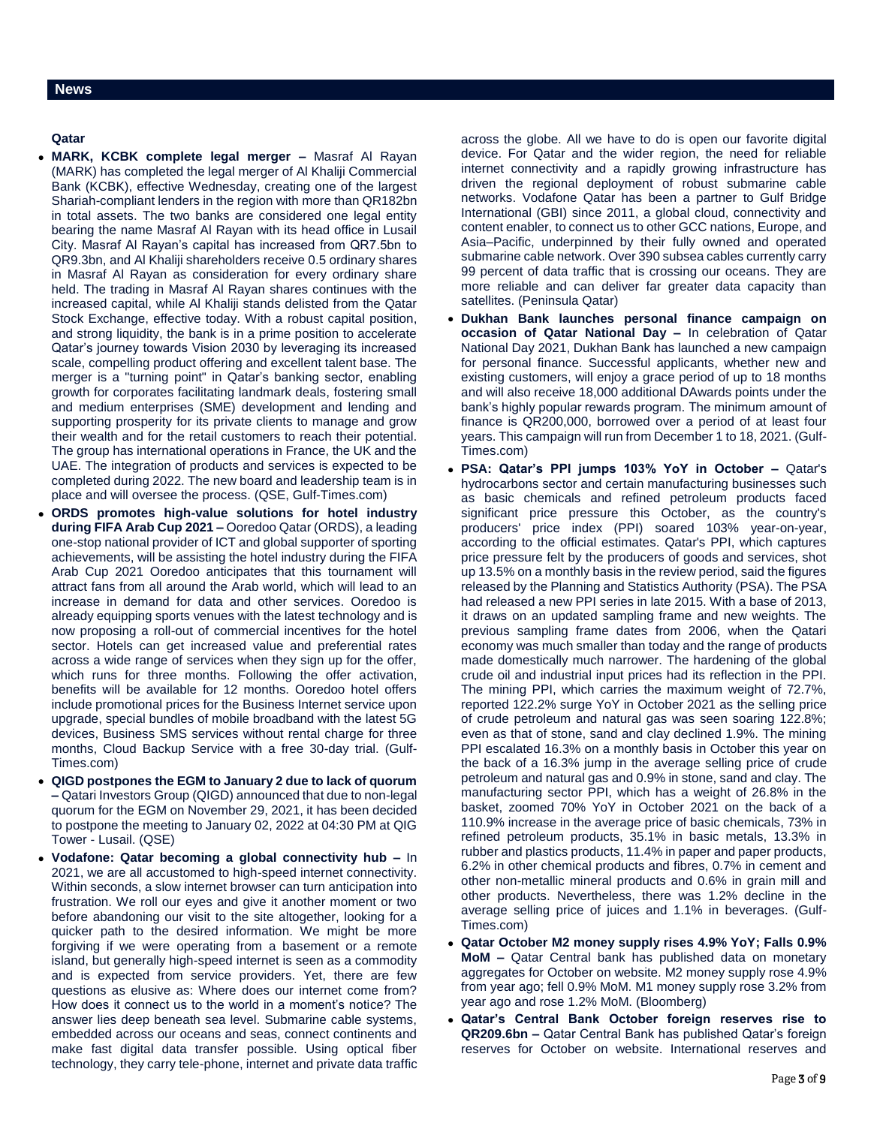**Qatar** 

- **MARK, KCBK complete legal merger –** Masraf Al Rayan (MARK) has completed the legal merger of Al Khaliji Commercial Bank (KCBK), effective Wednesday, creating one of the largest Shariah-compliant lenders in the region with more than QR182bn in total assets. The two banks are considered one legal entity bearing the name Masraf Al Rayan with its head office in Lusail City. Masraf Al Rayan's capital has increased from QR7.5bn to QR9.3bn, and Al Khaliji shareholders receive 0.5 ordinary shares in Masraf Al Rayan as consideration for every ordinary share held. The trading in Masraf Al Rayan shares continues with the increased capital, while Al Khaliji stands delisted from the Qatar Stock Exchange, effective today. With a robust capital position, and strong liquidity, the bank is in a prime position to accelerate Qatar's journey towards Vision 2030 by leveraging its increased scale, compelling product offering and excellent talent base. The merger is a "turning point" in Qatar's banking sector, enabling growth for corporates facilitating landmark deals, fostering small and medium enterprises (SME) development and lending and supporting prosperity for its private clients to manage and grow their wealth and for the retail customers to reach their potential. The group has international operations in France, the UK and the UAE. The integration of products and services is expected to be completed during 2022. The new board and leadership team is in place and will oversee the process. (QSE, Gulf-Times.com)
- **ORDS promotes high-value solutions for hotel industry during FIFA Arab Cup 2021 –** Ooredoo Qatar (ORDS), a leading one-stop national provider of ICT and global supporter of sporting achievements, will be assisting the hotel industry during the FIFA Arab Cup 2021 Ooredoo anticipates that this tournament will attract fans from all around the Arab world, which will lead to an increase in demand for data and other services. Ooredoo is already equipping sports venues with the latest technology and is now proposing a roll-out of commercial incentives for the hotel sector. Hotels can get increased value and preferential rates across a wide range of services when they sign up for the offer, which runs for three months. Following the offer activation, benefits will be available for 12 months. Ooredoo hotel offers include promotional prices for the Business Internet service upon upgrade, special bundles of mobile broadband with the latest 5G devices, Business SMS services without rental charge for three months, Cloud Backup Service with a free 30-day trial. (Gulf-Times.com)
- **QIGD postpones the EGM to January 2 due to lack of quorum –** Qatari Investors Group (QIGD) announced that due to non-legal quorum for the EGM on November 29, 2021, it has been decided to postpone the meeting to January 02, 2022 at 04:30 PM at QIG Tower - Lusail. (QSE)
- **Vodafone: Qatar becoming a global connectivity hub –** In 2021, we are all accustomed to high-speed internet connectivity. Within seconds, a slow internet browser can turn anticipation into frustration. We roll our eyes and give it another moment or two before abandoning our visit to the site altogether, looking for a quicker path to the desired information. We might be more forgiving if we were operating from a basement or a remote island, but generally high-speed internet is seen as a commodity and is expected from service providers. Yet, there are few questions as elusive as: Where does our internet come from? How does it connect us to the world in a moment's notice? The answer lies deep beneath sea level. Submarine cable systems, embedded across our oceans and seas, connect continents and make fast digital data transfer possible. Using optical fiber technology, they carry tele-phone, internet and private data traffic

across the globe. All we have to do is open our favorite digital device. For Qatar and the wider region, the need for reliable internet connectivity and a rapidly growing infrastructure has driven the regional deployment of robust submarine cable networks. Vodafone Qatar has been a partner to Gulf Bridge International (GBI) since 2011, a global cloud, connectivity and content enabler, to connect us to other GCC nations, Europe, and Asia–Pacific, underpinned by their fully owned and operated submarine cable network. Over 390 subsea cables currently carry 99 percent of data traffic that is crossing our oceans. They are more reliable and can deliver far greater data capacity than satellites. (Peninsula Qatar)

- **Dukhan Bank launches personal finance campaign on occasion of Qatar National Day –** In celebration of Qatar National Day 2021, Dukhan Bank has launched a new campaign for personal finance. Successful applicants, whether new and existing customers, will enjoy a grace period of up to 18 months and will also receive 18,000 additional DAwards points under the bank's highly popular rewards program. The minimum amount of finance is QR200,000, borrowed over a period of at least four years. This campaign will run from December 1 to 18, 2021. (Gulf-Times.com)
- **PSA: Qatar's PPI jumps 103% YoY in October –** Qatar's hydrocarbons sector and certain manufacturing businesses such as basic chemicals and refined petroleum products faced significant price pressure this October, as the country's producers' price index (PPI) soared 103% year-on-year, according to the official estimates. Qatar's PPI, which captures price pressure felt by the producers of goods and services, shot up 13.5% on a monthly basis in the review period, said the figures released by the Planning and Statistics Authority (PSA). The PSA had released a new PPI series in late 2015. With a base of 2013, it draws on an updated sampling frame and new weights. The previous sampling frame dates from 2006, when the Qatari economy was much smaller than today and the range of products made domestically much narrower. The hardening of the global crude oil and industrial input prices had its reflection in the PPI. The mining PPI, which carries the maximum weight of 72.7%, reported 122.2% surge YoY in October 2021 as the selling price of crude petroleum and natural gas was seen soaring 122.8%; even as that of stone, sand and clay declined 1.9%. The mining PPI escalated 16.3% on a monthly basis in October this year on the back of a 16.3% jump in the average selling price of crude petroleum and natural gas and 0.9% in stone, sand and clay. The manufacturing sector PPI, which has a weight of 26.8% in the basket, zoomed 70% YoY in October 2021 on the back of a 110.9% increase in the average price of basic chemicals, 73% in refined petroleum products, 35.1% in basic metals, 13.3% in rubber and plastics products, 11.4% in paper and paper products, 6.2% in other chemical products and fibres, 0.7% in cement and other non-metallic mineral products and 0.6% in grain mill and other products. Nevertheless, there was 1.2% decline in the average selling price of juices and 1.1% in beverages. (Gulf-Times.com)
- **Qatar October M2 money supply rises 4.9% YoY; Falls 0.9% MoM –** Qatar Central bank has published data on monetary aggregates for October on website. M2 money supply rose 4.9% from year ago; fell 0.9% MoM. M1 money supply rose 3.2% from year ago and rose 1.2% MoM. (Bloomberg)
- **Qatar's Central Bank October foreign reserves rise to QR209.6bn –** Qatar Central Bank has published Qatar's foreign reserves for October on website. International reserves and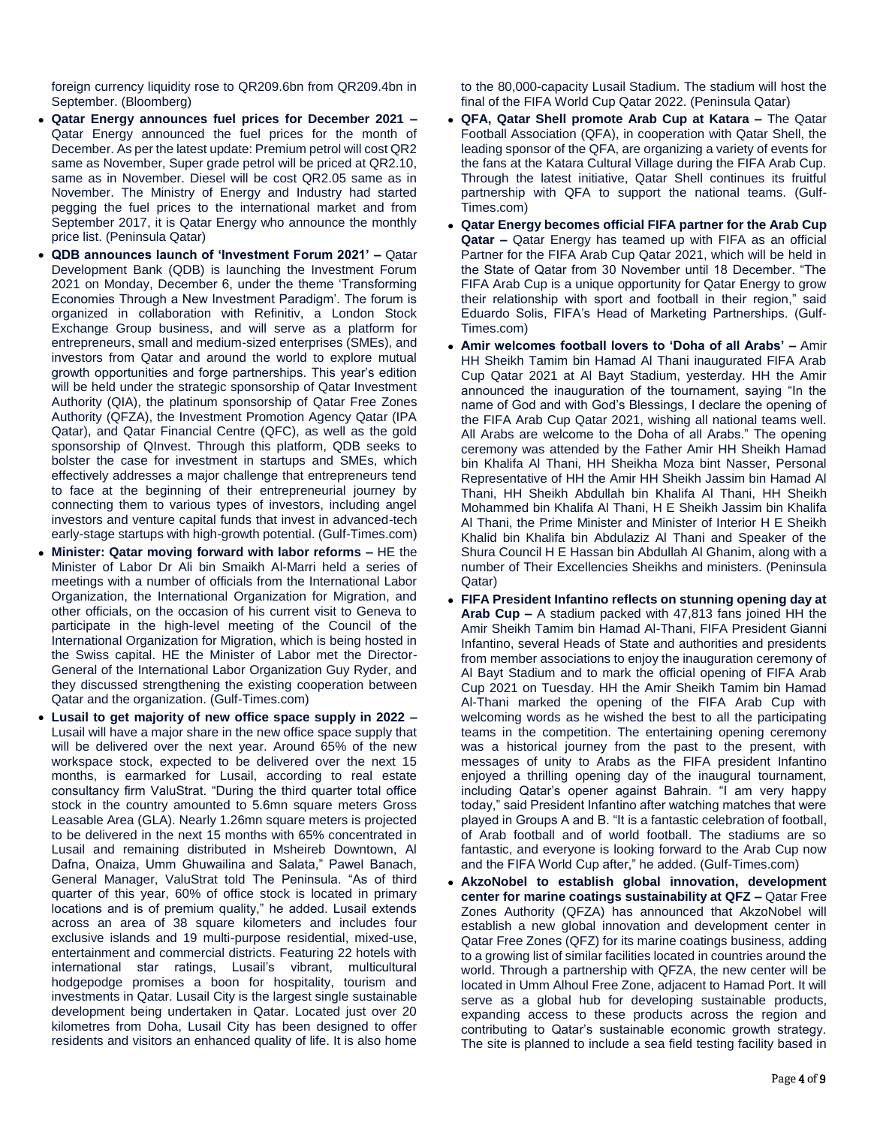foreign currency liquidity rose to QR209.6bn from QR209.4bn in September. (Bloomberg)

- **Qatar Energy announces fuel prices for December 2021 –** Qatar Energy announced the fuel prices for the month of December. As per the latest update: Premium petrol will cost QR2 same as November, Super grade petrol will be priced at QR2.10, same as in November. Diesel will be cost QR2.05 same as in November. The Ministry of Energy and Industry had started pegging the fuel prices to the international market and from September 2017, it is Qatar Energy who announce the monthly price list. (Peninsula Qatar)
- **QDB announces launch of 'Investment Forum 2021' –** Qatar Development Bank (QDB) is launching the Investment Forum 2021 on Monday, December 6, under the theme 'Transforming Economies Through a New Investment Paradigm'. The forum is organized in collaboration with Refinitiv, a London Stock Exchange Group business, and will serve as a platform for entrepreneurs, small and medium-sized enterprises (SMEs), and investors from Qatar and around the world to explore mutual growth opportunities and forge partnerships. This year's edition will be held under the strategic sponsorship of Qatar Investment Authority (QIA), the platinum sponsorship of Qatar Free Zones Authority (QFZA), the Investment Promotion Agency Qatar (IPA Qatar), and Qatar Financial Centre (QFC), as well as the gold sponsorship of QInvest. Through this platform, QDB seeks to bolster the case for investment in startups and SMEs, which effectively addresses a major challenge that entrepreneurs tend to face at the beginning of their entrepreneurial journey by connecting them to various types of investors, including angel investors and venture capital funds that invest in advanced-tech early-stage startups with high-growth potential. (Gulf-Times.com)
- **Minister: Qatar moving forward with labor reforms –** HE the Minister of Labor Dr Ali bin Smaikh Al-Marri held a series of meetings with a number of officials from the International Labor Organization, the International Organization for Migration, and other officials, on the occasion of his current visit to Geneva to participate in the high-level meeting of the Council of the International Organization for Migration, which is being hosted in the Swiss capital. HE the Minister of Labor met the Director-General of the International Labor Organization Guy Ryder, and they discussed strengthening the existing cooperation between Qatar and the organization. (Gulf-Times.com)
- **Lusail to get majority of new office space supply in 2022 –** Lusail will have a major share in the new office space supply that will be delivered over the next year. Around 65% of the new workspace stock, expected to be delivered over the next 15 months, is earmarked for Lusail, according to real estate consultancy firm ValuStrat. "During the third quarter total office stock in the country amounted to 5.6mn square meters Gross Leasable Area (GLA). Nearly 1.26mn square meters is projected to be delivered in the next 15 months with 65% concentrated in Lusail and remaining distributed in Msheireb Downtown, Al Dafna, Onaiza, Umm Ghuwailina and Salata," Pawel Banach, General Manager, ValuStrat told The Peninsula. "As of third quarter of this year, 60% of office stock is located in primary locations and is of premium quality," he added. Lusail extends across an area of 38 square kilometers and includes four exclusive islands and 19 multi-purpose residential, mixed-use, entertainment and commercial districts. Featuring 22 hotels with international star ratings, Lusail's vibrant, multicultural hodgepodge promises a boon for hospitality, tourism and investments in Qatar. Lusail City is the largest single sustainable development being undertaken in Qatar. Located just over 20 kilometres from Doha, Lusail City has been designed to offer residents and visitors an enhanced quality of life. It is also home

to the 80,000-capacity Lusail Stadium. The stadium will host the final of the FIFA World Cup Qatar 2022. (Peninsula Qatar)

- **QFA, Qatar Shell promote Arab Cup at Katara –** The Qatar Football Association (QFA), in cooperation with Qatar Shell, the leading sponsor of the QFA, are organizing a variety of events for the fans at the Katara Cultural Village during the FIFA Arab Cup. Through the latest initiative, Qatar Shell continues its fruitful partnership with QFA to support the national teams. (Gulf-Times.com)
- **Qatar Energy becomes official FIFA partner for the Arab Cup Qatar –** Qatar Energy has teamed up with FIFA as an official Partner for the FIFA Arab Cup Qatar 2021, which will be held in the State of Qatar from 30 November until 18 December. "The FIFA Arab Cup is a unique opportunity for Qatar Energy to grow their relationship with sport and football in their region," said Eduardo Solis, FIFA's Head of Marketing Partnerships. (Gulf-Times.com)
- **Amir welcomes football lovers to 'Doha of all Arabs' –** Amir HH Sheikh Tamim bin Hamad Al Thani inaugurated FIFA Arab Cup Qatar 2021 at Al Bayt Stadium, yesterday. HH the Amir announced the inauguration of the tournament, saying "In the name of God and with God's Blessings, I declare the opening of the FIFA Arab Cup Qatar 2021, wishing all national teams well. All Arabs are welcome to the Doha of all Arabs." The opening ceremony was attended by the Father Amir HH Sheikh Hamad bin Khalifa Al Thani, HH Sheikha Moza bint Nasser, Personal Representative of HH the Amir HH Sheikh Jassim bin Hamad Al Thani, HH Sheikh Abdullah bin Khalifa Al Thani, HH Sheikh Mohammed bin Khalifa Al Thani, H E Sheikh Jassim bin Khalifa Al Thani, the Prime Minister and Minister of Interior H E Sheikh Khalid bin Khalifa bin Abdulaziz Al Thani and Speaker of the Shura Council H E Hassan bin Abdullah Al Ghanim, along with a number of Their Excellencies Sheikhs and ministers. (Peninsula Qatar)
- **FIFA President Infantino reflects on stunning opening day at Arab Cup –** A stadium packed with 47,813 fans joined HH the Amir Sheikh Tamim bin Hamad Al-Thani, FIFA President Gianni Infantino, several Heads of State and authorities and presidents from member associations to enjoy the inauguration ceremony of Al Bayt Stadium and to mark the official opening of FIFA Arab Cup 2021 on Tuesday. HH the Amir Sheikh Tamim bin Hamad Al-Thani marked the opening of the FIFA Arab Cup with welcoming words as he wished the best to all the participating teams in the competition. The entertaining opening ceremony was a historical journey from the past to the present, with messages of unity to Arabs as the FIFA president Infantino enjoyed a thrilling opening day of the inaugural tournament, including Qatar's opener against Bahrain. "I am very happy today," said President Infantino after watching matches that were played in Groups A and B. "It is a fantastic celebration of football, of Arab football and of world football. The stadiums are so fantastic, and everyone is looking forward to the Arab Cup now and the FIFA World Cup after," he added. (Gulf-Times.com)
- **AkzoNobel to establish global innovation, development center for marine coatings sustainability at QFZ –** Qatar Free Zones Authority (QFZA) has announced that AkzoNobel will establish a new global innovation and development center in Qatar Free Zones (QFZ) for its marine coatings business, adding to a growing list of similar facilities located in countries around the world. Through a partnership with QFZA, the new center will be located in Umm Alhoul Free Zone, adjacent to Hamad Port. It will serve as a global hub for developing sustainable products, expanding access to these products across the region and contributing to Qatar's sustainable economic growth strategy. The site is planned to include a sea field testing facility based in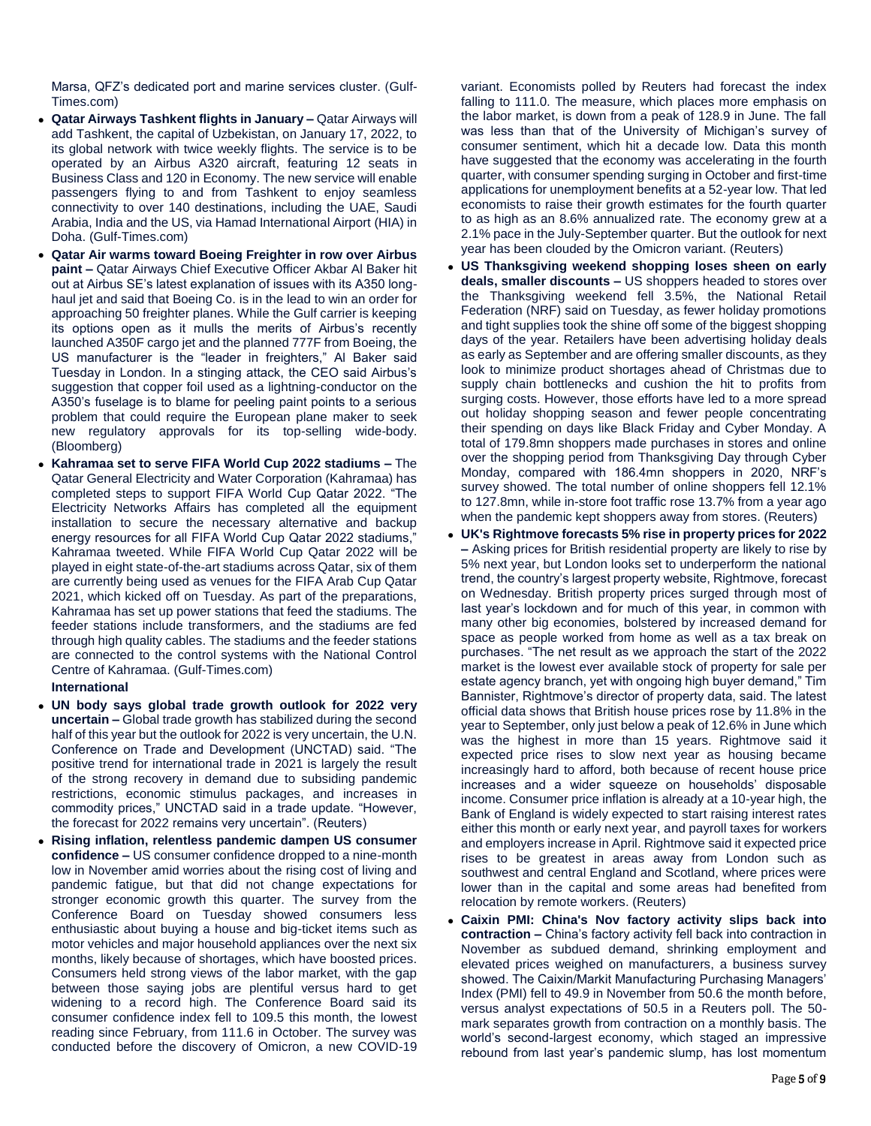Marsa, QFZ's dedicated port and marine services cluster. (Gulf-Times.com)

- **Qatar Airways Tashkent flights in January –** Qatar Airways will add Tashkent, the capital of Uzbekistan, on January 17, 2022, to its global network with twice weekly flights. The service is to be operated by an Airbus A320 aircraft, featuring 12 seats in Business Class and 120 in Economy. The new service will enable passengers flying to and from Tashkent to enjoy seamless connectivity to over 140 destinations, including the UAE, Saudi Arabia, India and the US, via Hamad International Airport (HIA) in Doha. (Gulf-Times.com)
- **Qatar Air warms toward Boeing Freighter in row over Airbus paint –** Qatar Airways Chief Executive Officer Akbar Al Baker hit out at Airbus SE's latest explanation of issues with its A350 longhaul jet and said that Boeing Co. is in the lead to win an order for approaching 50 freighter planes. While the Gulf carrier is keeping its options open as it mulls the merits of Airbus's recently launched A350F cargo jet and the planned 777F from Boeing, the US manufacturer is the "leader in freighters," Al Baker said Tuesday in London. In a stinging attack, the CEO said Airbus's suggestion that copper foil used as a lightning-conductor on the A350's fuselage is to blame for peeling paint points to a serious problem that could require the European plane maker to seek new regulatory approvals for its top-selling wide-body. (Bloomberg)
- **Kahramaa set to serve FIFA World Cup 2022 stadiums –** The Qatar General Electricity and Water Corporation (Kahramaa) has completed steps to support FIFA World Cup Qatar 2022. "The Electricity Networks Affairs has completed all the equipment installation to secure the necessary alternative and backup energy resources for all FIFA World Cup Qatar 2022 stadiums," Kahramaa tweeted. While FIFA World Cup Qatar 2022 will be played in eight state-of-the-art stadiums across Qatar, six of them are currently being used as venues for the FIFA Arab Cup Qatar 2021, which kicked off on Tuesday. As part of the preparations, Kahramaa has set up power stations that feed the stadiums. The feeder stations include transformers, and the stadiums are fed through high quality cables. The stadiums and the feeder stations are connected to the control systems with the National Control Centre of Kahramaa. (Gulf-Times.com)

## **International**

- **UN body says global trade growth outlook for 2022 very uncertain –** Global trade growth has stabilized during the second half of this year but the outlook for 2022 is very uncertain, the U.N. Conference on Trade and Development (UNCTAD) said. "The positive trend for international trade in 2021 is largely the result of the strong recovery in demand due to subsiding pandemic restrictions, economic stimulus packages, and increases in commodity prices," UNCTAD said in a trade update. "However, the forecast for 2022 remains very uncertain". (Reuters)
- **Rising inflation, relentless pandemic dampen US consumer confidence –** US consumer confidence dropped to a nine-month low in November amid worries about the rising cost of living and pandemic fatigue, but that did not change expectations for stronger economic growth this quarter. The survey from the Conference Board on Tuesday showed consumers less enthusiastic about buying a house and big-ticket items such as motor vehicles and major household appliances over the next six months, likely because of shortages, which have boosted prices. Consumers held strong views of the labor market, with the gap between those saying jobs are plentiful versus hard to get widening to a record high. The Conference Board said its consumer confidence index fell to 109.5 this month, the lowest reading since February, from 111.6 in October. The survey was conducted before the discovery of Omicron, a new COVID-19

variant. Economists polled by Reuters had forecast the index falling to 111.0. The measure, which places more emphasis on the labor market, is down from a peak of 128.9 in June. The fall was less than that of the University of Michigan's survey of consumer sentiment, which hit a decade low. Data this month have suggested that the economy was accelerating in the fourth quarter, with consumer spending surging in October and first-time applications for unemployment benefits at a 52-year low. That led economists to raise their growth estimates for the fourth quarter to as high as an 8.6% annualized rate. The economy grew at a 2.1% pace in the July-September quarter. But the outlook for next year has been clouded by the Omicron variant. (Reuters)

- **US Thanksgiving weekend shopping loses sheen on early deals, smaller discounts –** US shoppers headed to stores over the Thanksgiving weekend fell 3.5%, the National Retail Federation (NRF) said on Tuesday, as fewer holiday promotions and tight supplies took the shine off some of the biggest shopping days of the year. Retailers have been advertising holiday deals as early as September and are offering smaller discounts, as they look to minimize product shortages ahead of Christmas due to supply chain bottlenecks and cushion the hit to profits from surging costs. However, those efforts have led to a more spread out holiday shopping season and fewer people concentrating their spending on days like Black Friday and Cyber Monday. A total of 179.8mn shoppers made purchases in stores and online over the shopping period from Thanksgiving Day through Cyber Monday, compared with 186.4mn shoppers in 2020, NRF's survey showed. The total number of online shoppers fell 12.1% to 127.8mn, while in-store foot traffic rose 13.7% from a year ago when the pandemic kept shoppers away from stores. (Reuters)
- **UK's Rightmove forecasts 5% rise in property prices for 2022 –** Asking prices for British residential property are likely to rise by 5% next year, but London looks set to underperform the national trend, the country's largest property website, Rightmove, forecast on Wednesday. British property prices surged through most of last year's lockdown and for much of this year, in common with many other big economies, bolstered by increased demand for space as people worked from home as well as a tax break on purchases. "The net result as we approach the start of the 2022 market is the lowest ever available stock of property for sale per estate agency branch, yet with ongoing high buyer demand," Tim Bannister, Rightmove's director of property data, said. The latest official data shows that British house prices rose by 11.8% in the year to September, only just below a peak of 12.6% in June which was the highest in more than 15 years. Rightmove said it expected price rises to slow next year as housing became increasingly hard to afford, both because of recent house price increases and a wider squeeze on households' disposable income. Consumer price inflation is already at a 10-year high, the Bank of England is widely expected to start raising interest rates either this month or early next year, and payroll taxes for workers and employers increase in April. Rightmove said it expected price rises to be greatest in areas away from London such as southwest and central England and Scotland, where prices were lower than in the capital and some areas had benefited from relocation by remote workers. (Reuters)
- **Caixin PMI: China's Nov factory activity slips back into contraction –** China's factory activity fell back into contraction in November as subdued demand, shrinking employment and elevated prices weighed on manufacturers, a business survey showed. The Caixin/Markit Manufacturing Purchasing Managers' Index (PMI) fell to 49.9 in November from 50.6 the month before, versus analyst expectations of 50.5 in a Reuters poll. The 50 mark separates growth from contraction on a monthly basis. The world's second-largest economy, which staged an impressive rebound from last year's pandemic slump, has lost momentum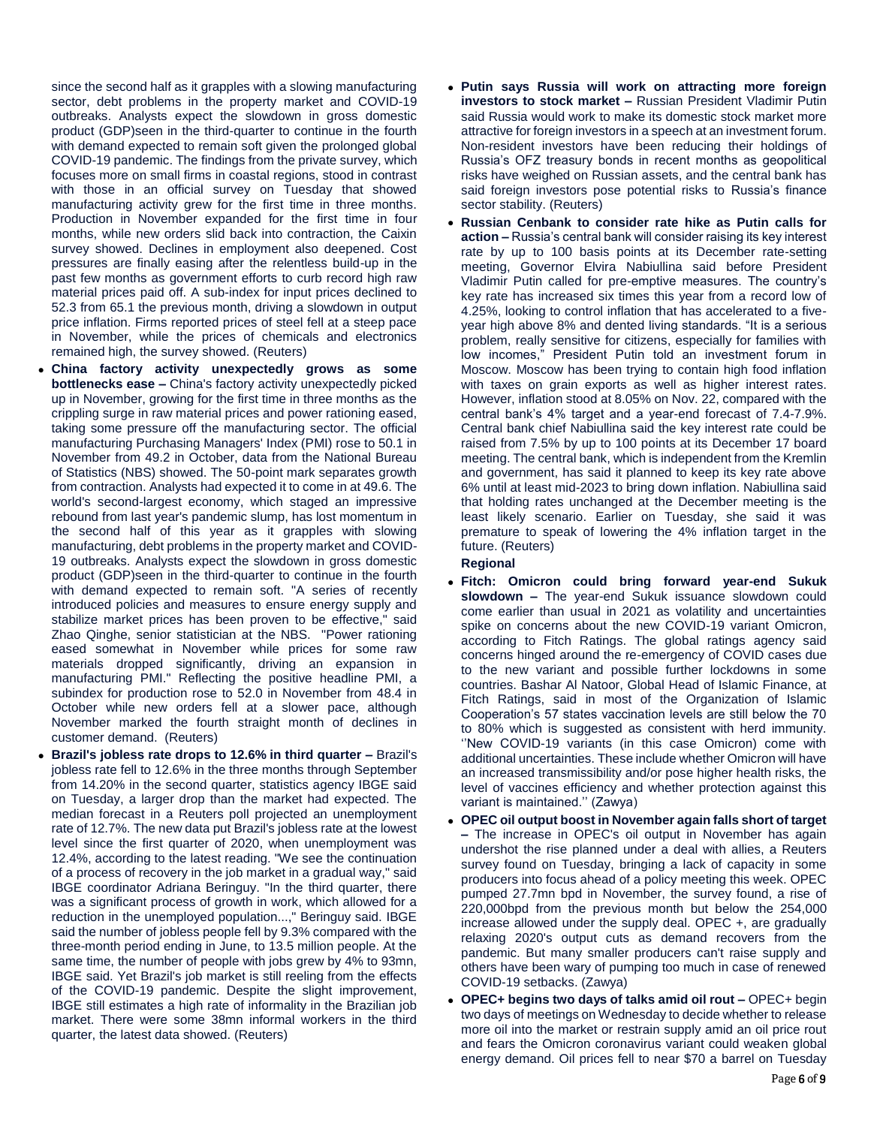since the second half as it grapples with a slowing manufacturing sector, debt problems in the property market and COVID-19 outbreaks. Analysts expect the slowdown in gross domestic product (GDP)seen in the third-quarter to continue in the fourth with demand expected to remain soft given the prolonged global COVID-19 pandemic. The findings from the private survey, which focuses more on small firms in coastal regions, stood in contrast with those in an official survey on Tuesday that showed manufacturing activity grew for the first time in three months. Production in November expanded for the first time in four months, while new orders slid back into contraction, the Caixin survey showed. Declines in employment also deepened. Cost pressures are finally easing after the relentless build-up in the past few months as government efforts to curb record high raw material prices paid off. A sub-index for input prices declined to 52.3 from 65.1 the previous month, driving a slowdown in output price inflation. Firms reported prices of steel fell at a steep pace in November, while the prices of chemicals and electronics remained high, the survey showed. (Reuters)

- **China factory activity unexpectedly grows as some bottlenecks ease –** China's factory activity unexpectedly picked up in November, growing for the first time in three months as the crippling surge in raw material prices and power rationing eased, taking some pressure off the manufacturing sector. The official manufacturing Purchasing Managers' Index (PMI) rose to 50.1 in November from 49.2 in October, data from the National Bureau of Statistics (NBS) showed. The 50-point mark separates growth from contraction. Analysts had expected it to come in at 49.6. The world's second-largest economy, which staged an impressive rebound from last year's pandemic slump, has lost momentum in the second half of this year as it grapples with slowing manufacturing, debt problems in the property market and COVID-19 outbreaks. Analysts expect the slowdown in gross domestic product (GDP)seen in the third-quarter to continue in the fourth with demand expected to remain soft. "A series of recently introduced policies and measures to ensure energy supply and stabilize market prices has been proven to be effective," said Zhao Qinghe, senior statistician at the NBS. "Power rationing eased somewhat in November while prices for some raw materials dropped significantly, driving an expansion in manufacturing PMI." Reflecting the positive headline PMI, a subindex for production rose to 52.0 in November from 48.4 in October while new orders fell at a slower pace, although November marked the fourth straight month of declines in customer demand. (Reuters)
- **Brazil's jobless rate drops to 12.6% in third quarter –** Brazil's jobless rate fell to 12.6% in the three months through September from 14.20% in the second quarter, statistics agency IBGE said on Tuesday, a larger drop than the market had expected. The median forecast in a Reuters poll projected an unemployment rate of 12.7%. The new data put Brazil's jobless rate at the lowest level since the first quarter of 2020, when unemployment was 12.4%, according to the latest reading. "We see the continuation of a process of recovery in the job market in a gradual way," said IBGE coordinator Adriana Beringuy. "In the third quarter, there was a significant process of growth in work, which allowed for a reduction in the unemployed population...," Beringuy said. IBGE said the number of jobless people fell by 9.3% compared with the three-month period ending in June, to 13.5 million people. At the same time, the number of people with jobs grew by 4% to 93mn, IBGE said. Yet Brazil's job market is still reeling from the effects of the COVID-19 pandemic. Despite the slight improvement, IBGE still estimates a high rate of informality in the Brazilian job market. There were some 38mn informal workers in the third quarter, the latest data showed. (Reuters)
- **Putin says Russia will work on attracting more foreign investors to stock market –** Russian President Vladimir Putin said Russia would work to make its domestic stock market more attractive for foreign investors in a speech at an investment forum. Non-resident investors have been reducing their holdings of Russia's OFZ treasury bonds in recent months as geopolitical risks have weighed on Russian assets, and the central bank has said foreign investors pose potential risks to Russia's finance sector stability. (Reuters)
- **Russian Cenbank to consider rate hike as Putin calls for action –** Russia's central bank will consider raising its key interest rate by up to 100 basis points at its December rate-setting meeting, Governor Elvira Nabiullina said before President Vladimir Putin called for pre-emptive measures. The country's key rate has increased six times this year from a record low of 4.25%, looking to control inflation that has accelerated to a fiveyear high above 8% and dented living standards. "It is a serious problem, really sensitive for citizens, especially for families with low incomes," President Putin told an investment forum in Moscow. Moscow has been trying to contain high food inflation with taxes on grain exports as well as higher interest rates. However, inflation stood at 8.05% on Nov. 22, compared with the central bank's 4% target and a year-end forecast of 7.4-7.9%. Central bank chief Nabiullina said the key interest rate could be raised from 7.5% by up to 100 points at its December 17 board meeting. The central bank, which is independent from the Kremlin and government, has said it planned to keep its key rate above 6% until at least mid-2023 to bring down inflation. Nabiullina said that holding rates unchanged at the December meeting is the least likely scenario. Earlier on Tuesday, she said it was premature to speak of lowering the 4% inflation target in the future. (Reuters) **Regional**
- **Fitch: Omicron could bring forward year-end Sukuk slowdown –** The year-end Sukuk issuance slowdown could come earlier than usual in 2021 as volatility and uncertainties spike on concerns about the new COVID-19 variant Omicron, according to Fitch Ratings. The global ratings agency said concerns hinged around the re-emergency of COVID cases due to the new variant and possible further lockdowns in some countries. Bashar Al Natoor, Global Head of Islamic Finance, at Fitch Ratings, said in most of the Organization of Islamic Cooperation's 57 states vaccination levels are still below the 70 to 80% which is suggested as consistent with herd immunity. ''New COVID-19 variants (in this case Omicron) come with additional uncertainties. These include whether Omicron will have an increased transmissibility and/or pose higher health risks, the level of vaccines efficiency and whether protection against this variant is maintained.'' (Zawya)
- **OPEC oil output boost in November again falls short of target –** The increase in OPEC's oil output in November has again undershot the rise planned under a deal with allies, a Reuters survey found on Tuesday, bringing a lack of capacity in some producers into focus ahead of a policy meeting this week. OPEC pumped 27.7mn bpd in November, the survey found, a rise of 220,000bpd from the previous month but below the 254,000 increase allowed under the supply deal. OPEC +, are gradually relaxing 2020's output cuts as demand recovers from the pandemic. But many smaller producers can't raise supply and others have been wary of pumping too much in case of renewed COVID-19 setbacks. (Zawya)
- **OPEC+ begins two days of talks amid oil rout –** OPEC+ begin two days of meetings on Wednesday to decide whether to release more oil into the market or restrain supply amid an oil price rout and fears the Omicron coronavirus variant could weaken global energy demand. Oil prices fell to near \$70 a barrel on Tuesday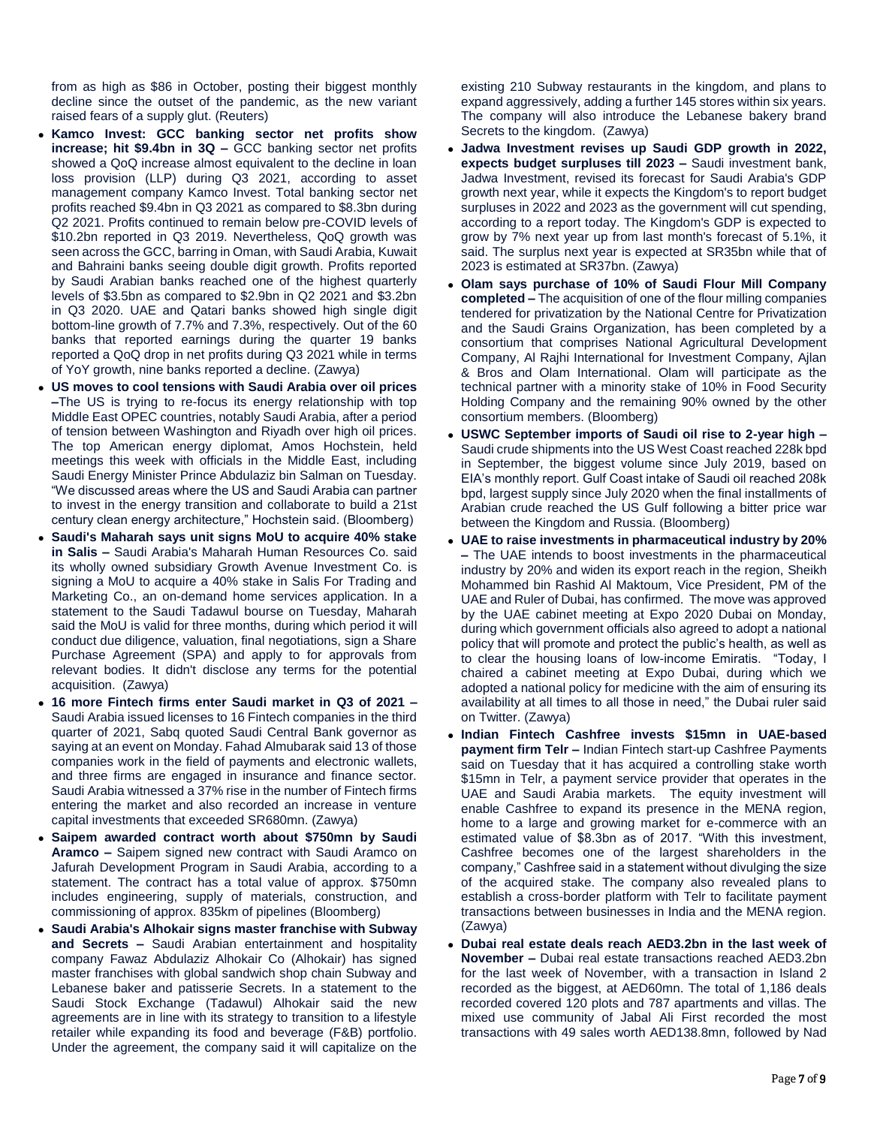from as high as \$86 in October, posting their biggest monthly decline since the outset of the pandemic, as the new variant raised fears of a supply glut. (Reuters)

- **Kamco Invest: GCC banking sector net profits show increase; hit \$9.4bn in 3Q –** GCC banking sector net profits showed a QoQ increase almost equivalent to the decline in loan loss provision (LLP) during Q3 2021, according to asset management company Kamco Invest. Total banking sector net profits reached \$9.4bn in Q3 2021 as compared to \$8.3bn during Q2 2021. Profits continued to remain below pre-COVID levels of \$10.2bn reported in Q3 2019. Nevertheless, QoQ growth was seen across the GCC, barring in Oman, with Saudi Arabia, Kuwait and Bahraini banks seeing double digit growth. Profits reported by Saudi Arabian banks reached one of the highest quarterly levels of \$3.5bn as compared to \$2.9bn in Q2 2021 and \$3.2bn in Q3 2020. UAE and Qatari banks showed high single digit bottom-line growth of 7.7% and 7.3%, respectively. Out of the 60 banks that reported earnings during the quarter 19 banks reported a QoQ drop in net profits during Q3 2021 while in terms of YoY growth, nine banks reported a decline. (Zawya)
- **US moves to cool tensions with Saudi Arabia over oil prices –**The US is trying to re-focus its energy relationship with top Middle East OPEC countries, notably Saudi Arabia, after a period of tension between Washington and Riyadh over high oil prices. The top American energy diplomat, Amos Hochstein, held meetings this week with officials in the Middle East, including Saudi Energy Minister Prince Abdulaziz bin Salman on Tuesday. "We discussed areas where the US and Saudi Arabia can partner to invest in the energy transition and collaborate to build a 21st century clean energy architecture," Hochstein said. (Bloomberg)
- **Saudi's Maharah says unit signs MoU to acquire 40% stake in Salis –** Saudi Arabia's Maharah Human Resources Co. said its wholly owned subsidiary Growth Avenue Investment Co. is signing a MoU to acquire a 40% stake in Salis For Trading and Marketing Co., an on-demand home services application. In a statement to the Saudi Tadawul bourse on Tuesday, Maharah said the MoU is valid for three months, during which period it will conduct due diligence, valuation, final negotiations, sign a Share Purchase Agreement (SPA) and apply to for approvals from relevant bodies. It didn't disclose any terms for the potential acquisition. (Zawya)
- **16 more Fintech firms enter Saudi market in Q3 of 2021 –** Saudi Arabia issued licenses to 16 Fintech companies in the third quarter of 2021, Sabq quoted Saudi Central Bank governor as saying at an event on Monday. Fahad Almubarak said 13 of those companies work in the field of payments and electronic wallets, and three firms are engaged in insurance and finance sector. Saudi Arabia witnessed a 37% rise in the number of Fintech firms entering the market and also recorded an increase in venture capital investments that exceeded SR680mn. (Zawya)
- **Saipem awarded contract worth about \$750mn by Saudi Aramco –** Saipem signed new contract with Saudi Aramco on Jafurah Development Program in Saudi Arabia, according to a statement. The contract has a total value of approx. \$750mn includes engineering, supply of materials, construction, and commissioning of approx. 835km of pipelines (Bloomberg)
- **Saudi Arabia's Alhokair signs master franchise with Subway and Secrets –** Saudi Arabian entertainment and hospitality company Fawaz Abdulaziz Alhokair Co (Alhokair) has signed master franchises with global sandwich shop chain Subway and Lebanese baker and patisserie Secrets. In a statement to the Saudi Stock Exchange (Tadawul) Alhokair said the new agreements are in line with its strategy to transition to a lifestyle retailer while expanding its food and beverage (F&B) portfolio. Under the agreement, the company said it will capitalize on the

existing 210 Subway restaurants in the kingdom, and plans to expand aggressively, adding a further 145 stores within six years. The company will also introduce the Lebanese bakery brand Secrets to the kingdom. (Zawya)

- **Jadwa Investment revises up Saudi GDP growth in 2022, expects budget surpluses till 2023 –** Saudi investment bank, Jadwa Investment, revised its forecast for Saudi Arabia's GDP growth next year, while it expects the Kingdom's to report budget surpluses in 2022 and 2023 as the government will cut spending, according to a report today. The Kingdom's GDP is expected to grow by 7% next year up from last month's forecast of 5.1%, it said. The surplus next year is expected at SR35bn while that of 2023 is estimated at SR37bn. (Zawya)
- **Olam says purchase of 10% of Saudi Flour Mill Company completed –** The acquisition of one of the flour milling companies tendered for privatization by the National Centre for Privatization and the Saudi Grains Organization, has been completed by a consortium that comprises National Agricultural Development Company, Al Rajhi International for Investment Company, Ajlan & Bros and Olam International. Olam will participate as the technical partner with a minority stake of 10% in Food Security Holding Company and the remaining 90% owned by the other consortium members. (Bloomberg)
- **USWC September imports of Saudi oil rise to 2-year high –** Saudi crude shipments into the US West Coast reached 228k bpd in September, the biggest volume since July 2019, based on EIA's monthly report. Gulf Coast intake of Saudi oil reached 208k bpd, largest supply since July 2020 when the final installments of Arabian crude reached the US Gulf following a bitter price war between the Kingdom and Russia. (Bloomberg)
- **UAE to raise investments in pharmaceutical industry by 20% –** The UAE intends to boost investments in the pharmaceutical industry by 20% and widen its export reach in the region, Sheikh Mohammed bin Rashid Al Maktoum, Vice President, PM of the UAE and Ruler of Dubai, has confirmed. The move was approved by the UAE cabinet meeting at Expo 2020 Dubai on Monday, during which government officials also agreed to adopt a national policy that will promote and protect the public's health, as well as to clear the housing loans of low-income Emiratis. "Today, I chaired a cabinet meeting at Expo Dubai, during which we adopted a national policy for medicine with the aim of ensuring its availability at all times to all those in need," the Dubai ruler said on Twitter. (Zawya)
- **Indian Fintech Cashfree invests \$15mn in UAE-based payment firm Telr –** Indian Fintech start-up Cashfree Payments said on Tuesday that it has acquired a controlling stake worth \$15mn in Telr, a payment service provider that operates in the UAE and Saudi Arabia markets. The equity investment will enable Cashfree to expand its presence in the MENA region, home to a large and growing market for e-commerce with an estimated value of \$8.3bn as of 2017. "With this investment, Cashfree becomes one of the largest shareholders in the company," Cashfree said in a statement without divulging the size of the acquired stake. The company also revealed plans to establish a cross-border platform with Telr to facilitate payment transactions between businesses in India and the MENA region. (Zawya)
- **Dubai real estate deals reach AED3.2bn in the last week of November –** Dubai real estate transactions reached AED3.2bn for the last week of November, with a transaction in Island 2 recorded as the biggest, at AED60mn. The total of 1,186 deals recorded covered 120 plots and 787 apartments and villas. The mixed use community of Jabal Ali First recorded the most transactions with 49 sales worth AED138.8mn, followed by Nad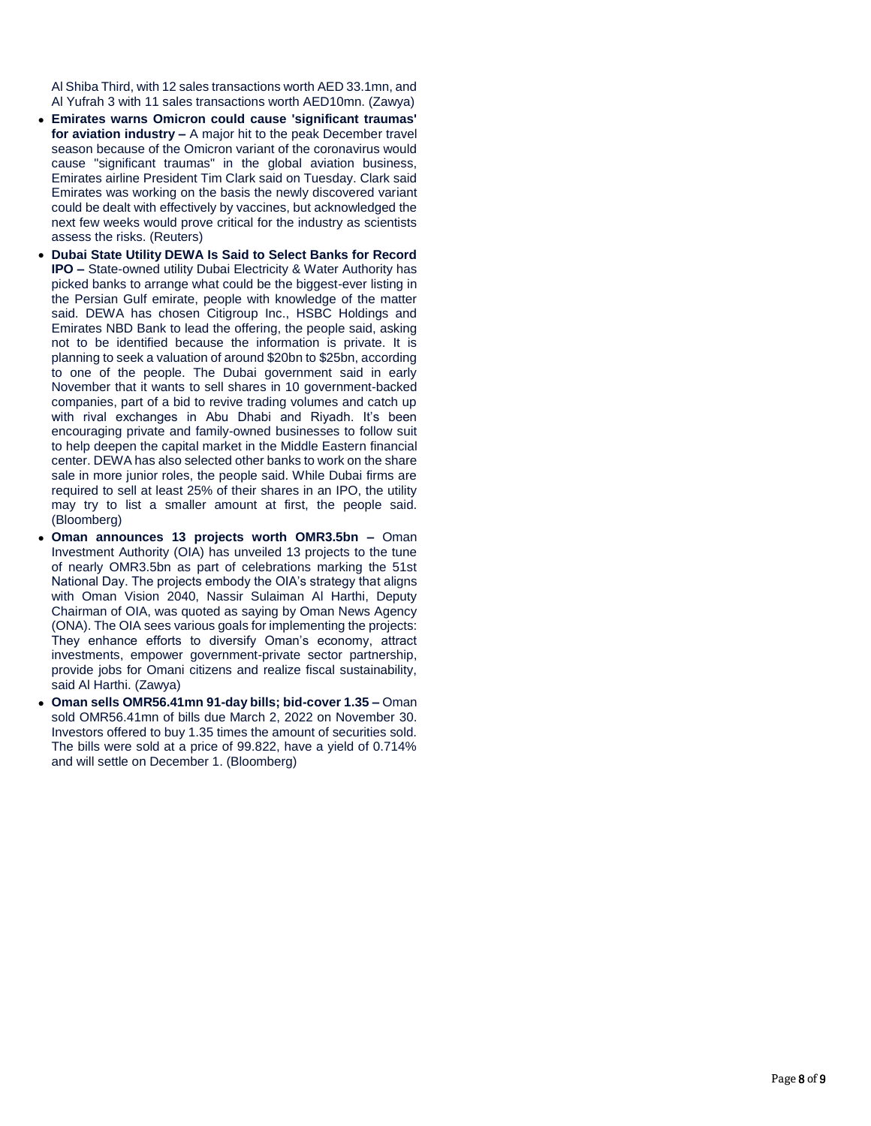Al Shiba Third, with 12 sales transactions worth AED 33.1mn, and Al Yufrah 3 with 11 sales transactions worth AED10mn. (Zawya)

- **Emirates warns Omicron could cause 'significant traumas' for aviation industry –** A major hit to the peak December travel season because of the Omicron variant of the coronavirus would cause "significant traumas" in the global aviation business, Emirates airline President Tim Clark said on Tuesday. Clark said Emirates was working on the basis the newly discovered variant could be dealt with effectively by vaccines, but acknowledged the next few weeks would prove critical for the industry as scientists assess the risks. (Reuters)
- **Dubai State Utility DEWA Is Said to Select Banks for Record IPO** – State-owned utility Dubai Electricity & Water Authority has picked banks to arrange what could be the biggest -ever listing in the Persian Gulf emirate, people with knowledge of the matter said. DEWA has chosen Citigroup Inc., HSBC Holdings and Emirates NBD Bank to lead the offering, the people said, asking not to be identified because the information is private. It is planning to seek a valuation of around \$20bn to \$25bn, according to one of the people. The Dubai government said in early November that it wants to sell shares in 10 government -backed companies, part of a bid to revive trading volumes and catch up with rival exchanges in Abu Dhabi and Riyadh. It's been encouraging private and family -owned businesses to follow suit to help deepen the capital market in the Middle Eastern financial center. DEWA has also selected other banks to work on the share sale in more junior roles, the people said. While Dubai firms are required to sell at least 25% of their shares in an IPO, the utility may try to list a smaller amount at first, the people said. (Bloomberg)
- **Oman announces 13 projects worth OMR3.5bn –** Oman Investment Authority (OIA) has unveiled 13 projects to the tune of nearly OMR3.5bn as part of celebrations marking the 51st National Day. The projects embody the OIA's strategy that aligns with Oman Vision 2040, Nassir Sulaiman Al Harthi, Deputy Chairman of OIA, was quoted as saying by Oman News Agency (ONA). The OIA sees various goals for implementing the projects: They enhance efforts to diversify Oman's economy, attract investments, empower government -private sector partnership, provide jobs for Omani citizens and realize fiscal sustainability, said Al Harthi. (Zawya)
- Oman sells OMR56.41mn 91-day bills; bid-cover 1.35 Oman sold OMR56.41mn of bills due March 2, 2022 on November 30. Investors offered to buy 1.35 times the amount of securities sold. The bills were sold at a price of 99.822, have a yield of 0.714% and will settle on December 1. (Bloomberg)